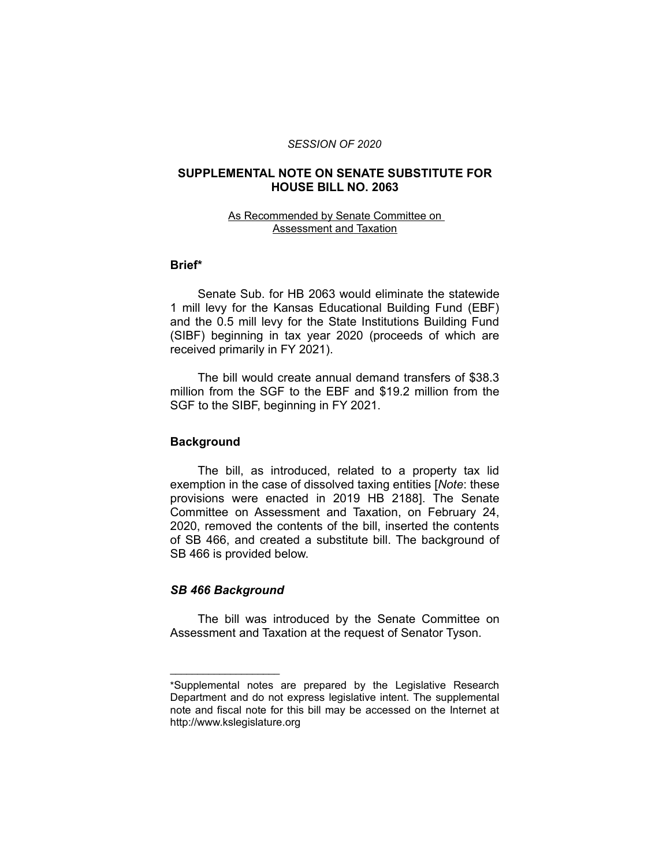#### *SESSION OF 2020*

## **SUPPLEMENTAL NOTE ON SENATE SUBSTITUTE FOR HOUSE BILL NO. 2063**

### As Recommended by Senate Committee on Assessment and Taxation

## **Brief\***

Senate Sub. for HB 2063 would eliminate the statewide 1 mill levy for the Kansas Educational Building Fund (EBF) and the 0.5 mill levy for the State Institutions Building Fund (SIBF) beginning in tax year 2020 (proceeds of which are received primarily in FY 2021).

The bill would create annual demand transfers of \$38.3 million from the SGF to the EBF and \$19.2 million from the SGF to the SIBF, beginning in FY 2021.

### **Background**

The bill, as introduced, related to a property tax lid exemption in the case of dissolved taxing entities [*Note*: these provisions were enacted in 2019 HB 2188]. The Senate Committee on Assessment and Taxation, on February 24, 2020, removed the contents of the bill, inserted the contents of SB 466, and created a substitute bill. The background of SB 466 is provided below.

# *SB 466 Background*

 $\overline{\phantom{a}}$  , where  $\overline{\phantom{a}}$ 

The bill was introduced by the Senate Committee on Assessment and Taxation at the request of Senator Tyson.

<sup>\*</sup>Supplemental notes are prepared by the Legislative Research Department and do not express legislative intent. The supplemental note and fiscal note for this bill may be accessed on the Internet at http://www.kslegislature.org